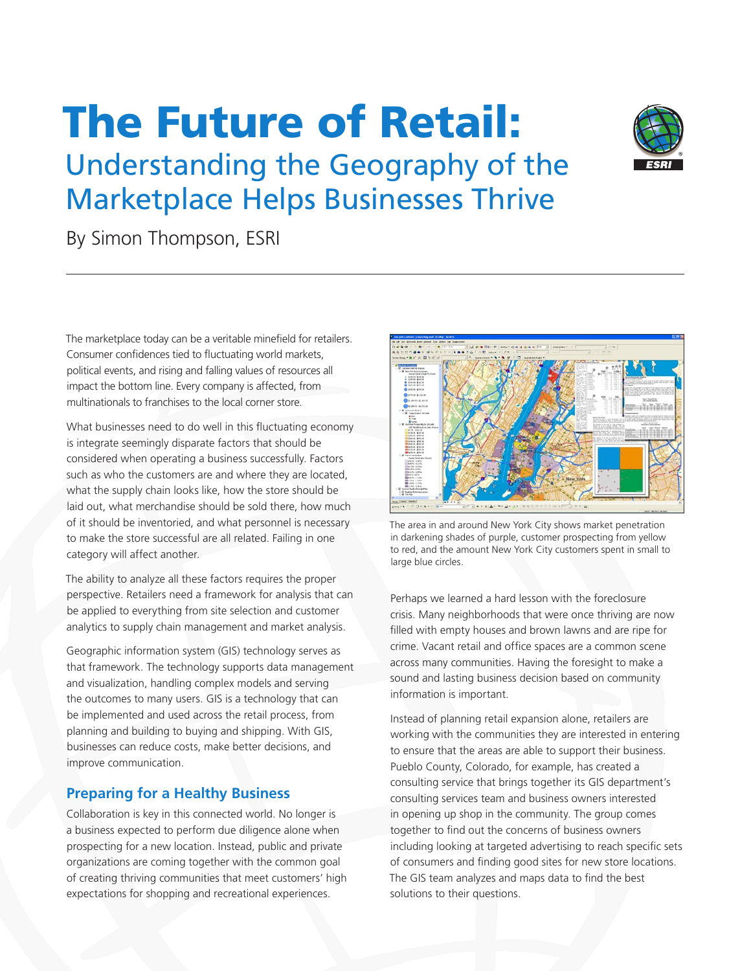# The Future of Retail:



Understanding the Geography of the Marketplace Helps Businesses Thrive

By Simon Thompson, ESRI

The marketplace today can be a veritable minefield for retailers. Consumer confidences tied to fluctuating world markets, political events, and rising and falling values of resources all impact the bottom line. Every company is affected, from multinationals to franchises to the local corner store.

What businesses need to do well in this fluctuating economy is integrate seemingly disparate factors that should be considered when operating a business successfully. Factors such as who the customers are and where they are located, what the supply chain looks like, how the store should be laid out, what merchandise should be sold there, how much of it should be inventoried, and what personnel is necessary to make the store successful are all related. Failing in one category will affect another.

The ability to analyze all these factors requires the proper perspective. Retailers need a framework for analysis that can be applied to everything from site selection and customer analytics to supply chain management and market analysis.

Geographic information system (GIS) technology serves as that framework. The technology supports data management and visualization, handling complex models and serving the outcomes to many users. GIS is a technology that can be implemented and used across the retail process, from planning and building to buying and shipping. With GIS, businesses can reduce costs, make better decisions, and improve communication.

# **Preparing for a Healthy Business**

Collaboration is key in this connected world. No longer is a business expected to perform due diligence alone when prospecting for a new location. Instead, public and private organizations are coming together with the common goal of creating thriving communities that meet customers' high expectations for shopping and recreational experiences.



The area in and around New York City shows market penetration in darkening shades of purple, customer prospecting from yellow to red, and the amount New York City customers spent in small to large blue circles.

Perhaps we learned a hard lesson with the foreclosure crisis. Many neighborhoods that were once thriving are now filled with empty houses and brown lawns and are ripe for crime. Vacant retail and office spaces are a common scene across many communities. Having the foresight to make a sound and lasting business decision based on community information is important.

Instead of planning retail expansion alone, retailers are working with the communities they are interested in entering to ensure that the areas are able to support their business. Pueblo County, Colorado, for example, has created a consulting service that brings together its GIS department's consulting services team and business owners interested in opening up shop in the community. The group comes together to find out the concerns of business owners including looking at targeted advertising to reach specific sets of consumers and finding good sites for new store locations. The GIS team analyzes and maps data to find the best solutions to their questions.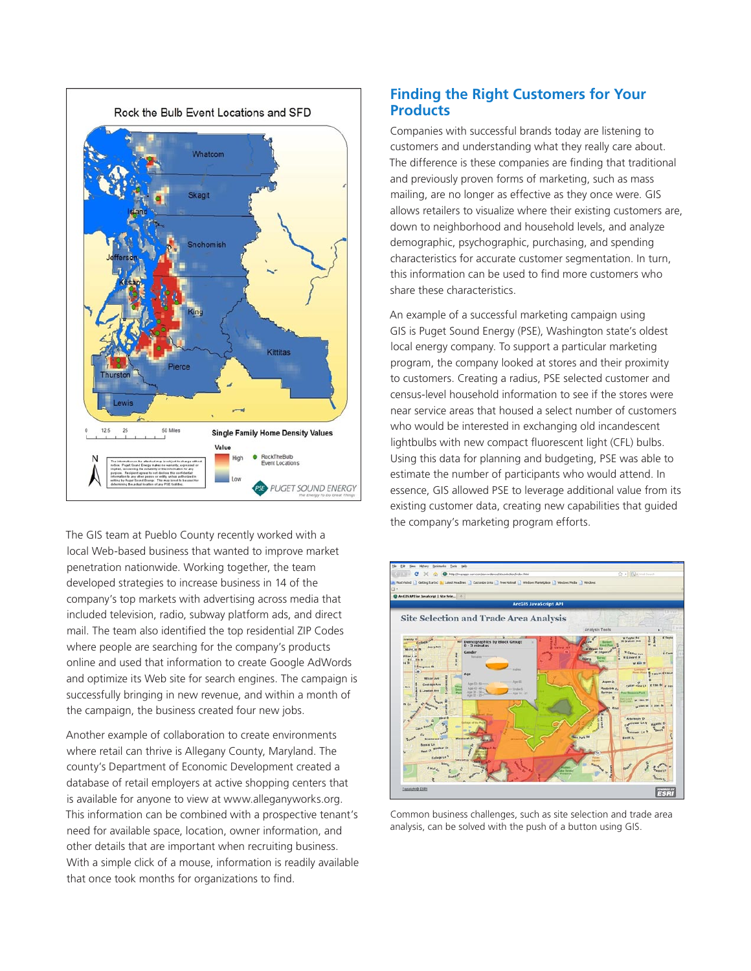

The GIS team at Pueblo County recently worked with a local Web-based business that wanted to improve market penetration nationwide. Working together, the team developed strategies to increase business in 14 of the company's top markets with advertising across media that included television, radio, subway platform ads, and direct mail. The team also identified the top residential ZIP Codes where people are searching for the company's products online and used that information to create Google AdWords and optimize its Web site for search engines. The campaign is successfully bringing in new revenue, and within a month of the campaign, the business created four new jobs.

Another example of collaboration to create environments where retail can thrive is Allegany County, Maryland. The county's Department of Economic Development created a database of retail employers at active shopping centers that is available for anyone to view at www.alleganyworks.org. This information can be combined with a prospective tenant's need for available space, location, owner information, and other details that are important when recruiting business. With a simple click of a mouse, information is readily available that once took months for organizations to find.

#### **Finding the Right Customers for Your Products**

Companies with successful brands today are listening to customers and understanding what they really care about. The difference is these companies are finding that traditional and previously proven forms of marketing, such as mass mailing, are no longer as effective as they once were. GIS allows retailers to visualize where their existing customers are, down to neighborhood and household levels, and analyze demographic, psychographic, purchasing, and spending characteristics for accurate customer segmentation. In turn, this information can be used to find more customers who share these characteristics.

An example of a successful marketing campaign using GIS is Puget Sound Energy (PSE), Washington state's oldest local energy company. To support a particular marketing program, the company looked at stores and their proximity to customers. Creating a radius, PSE selected customer and census-level household information to see if the stores were near service areas that housed a select number of customers who would be interested in exchanging old incandescent lightbulbs with new compact fluorescent light (CFL) bulbs. Using this data for planning and budgeting, PSE was able to estimate the number of participants who would attend. In essence, GIS allowed PSE to leverage additional value from its existing customer data, creating new capabilities that guided the company's marketing program efforts.



Common business challenges, such as site selection and trade area analysis, can be solved with the push of a button using GIS.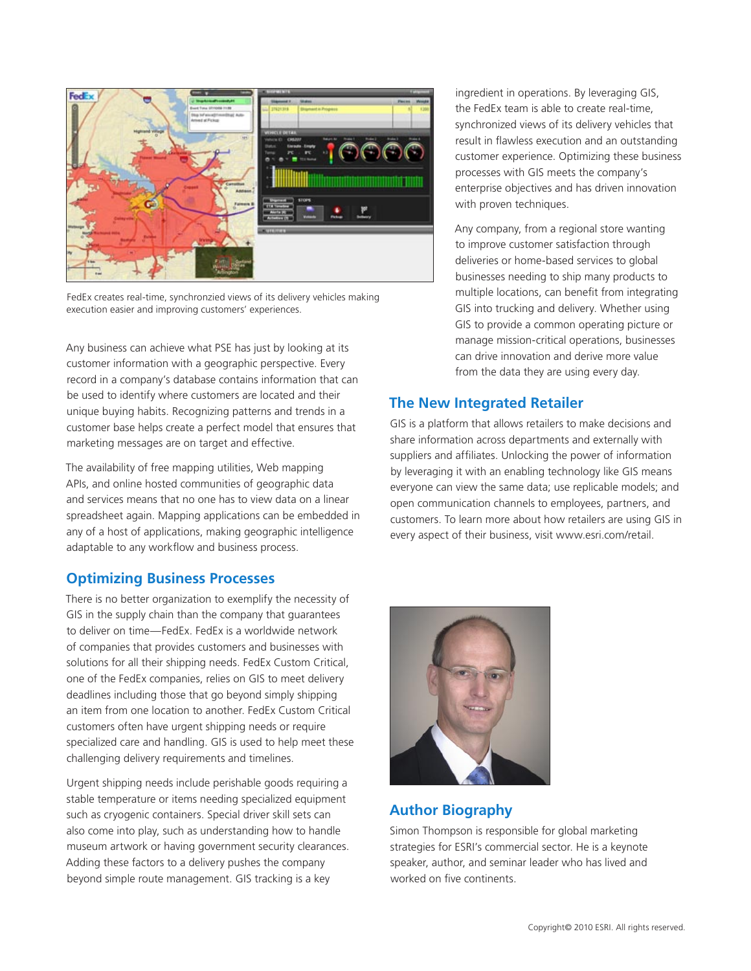

FedEx creates real-time, synchronzied views of its delivery vehicles making execution easier and improving customers' experiences.

Any business can achieve what PSE has just by looking at its customer information with a geographic perspective. Every record in a company's database contains information that can be used to identify where customers are located and their unique buying habits. Recognizing patterns and trends in a customer base helps create a perfect model that ensures that marketing messages are on target and effective.

The availability of free mapping utilities, Web mapping APIs, and online hosted communities of geographic data and services means that no one has to view data on a linear spreadsheet again. Mapping applications can be embedded in any of a host of applications, making geographic intelligence adaptable to any workflow and business process.

#### **Optimizing Business Processes**

There is no better organization to exemplify the necessity of GIS in the supply chain than the company that guarantees to deliver on time—FedEx. FedEx is a worldwide network of companies that provides customers and businesses with solutions for all their shipping needs. FedEx Custom Critical, one of the FedEx companies, relies on GIS to meet delivery deadlines including those that go beyond simply shipping an item from one location to another. FedEx Custom Critical customers often have urgent shipping needs or require specialized care and handling. GIS is used to help meet these challenging delivery requirements and timelines.

Urgent shipping needs include perishable goods requiring a stable temperature or items needing specialized equipment such as cryogenic containers. Special driver skill sets can also come into play, such as understanding how to handle museum artwork or having government security clearances. Adding these factors to a delivery pushes the company beyond simple route management. GIS tracking is a key

ingredient in operations. By leveraging GIS, the FedEx team is able to create real-time, synchronized views of its delivery vehicles that result in flawless execution and an outstanding customer experience. Optimizing these business processes with GIS meets the company's enterprise objectives and has driven innovation with proven techniques.

Any company, from a regional store wanting to improve customer satisfaction through deliveries or home-based services to global businesses needing to ship many products to multiple locations, can benefit from integrating GIS into trucking and delivery. Whether using GIS to provide a common operating picture or manage mission-critical operations, businesses can drive innovation and derive more value from the data they are using every day.

## **The New Integrated Retailer**

GIS is a platform that allows retailers to make decisions and share information across departments and externally with suppliers and affiliates. Unlocking the power of information by leveraging it with an enabling technology like GIS means everyone can view the same data; use replicable models; and open communication channels to employees, partners, and customers. To learn more about how retailers are using GIS in every aspect of their business, visit www.esri.com/retail.



## **Author Biography**

Simon Thompson is responsible for global marketing strategies for ESRI's commercial sector. He is a keynote speaker, author, and seminar leader who has lived and worked on five continents.